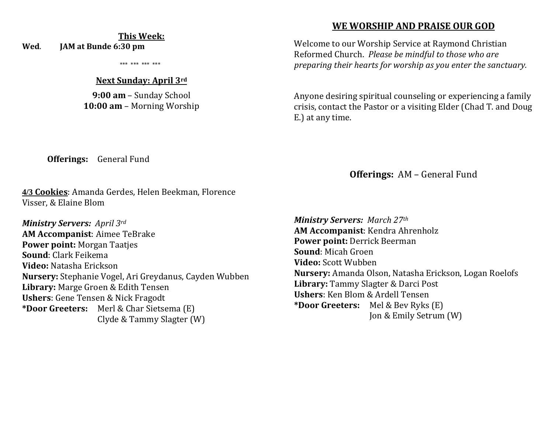# **This Week:**

**Wed**. **JAM at Bunde 6:30 pm** 

\*\*\* \*\*\* \*\*\* \*\*\*

#### **Next Sunday: April 3rd**

**9:00 am** – Sunday School **10:00 am** – Morning Worship

# **WE WORSHIP AND PRAISE OUR GOD**

Welcome to our Worship Service at Raymond Christian Reformed Church. *Please be mindful to those who are preparing their hearts for worship as you enter the sanctuary.*

Anyone desiring spiritual counseling or experiencing a family crisis, contact the Pastor or a visiting Elder (Chad T. and Doug E.) at any time.

**Offerings:** General Fund

**4/3 Cookies**: Amanda Gerdes, Helen Beekman, Florence Visser, & Elaine Blom

*Ministry Servers: April 3rd*  **AM Accompanist**: Aimee TeBrake **Power point:** Morgan Taatjes **Sound**: Clark Feikema **Video:** Natasha Erickson **Nursery:** Stephanie Vogel, Ari Greydanus, Cayden Wubben **Library:** Marge Groen & Edith Tensen **Ushers**: Gene Tensen & Nick Fragodt **\*Door Greeters:** Merl & Char Sietsema (E) Clyde & Tammy Slagter (W)

**Offerings:** AM – General Fund

*Ministry Servers: March 27th*  **AM Accompanist**: Kendra Ahrenholz **Power point:** Derrick Beerman **Sound**: Micah Groen **Video:** Scott Wubben **Nursery:** Amanda Olson, Natasha Erickson, Logan Roelofs **Library:** Tammy Slagter & Darci Post **Ushers**: Ken Blom & Ardell Tensen **\*Door Greeters:** Mel & Bev Ryks (E) Jon & Emily Setrum (W)